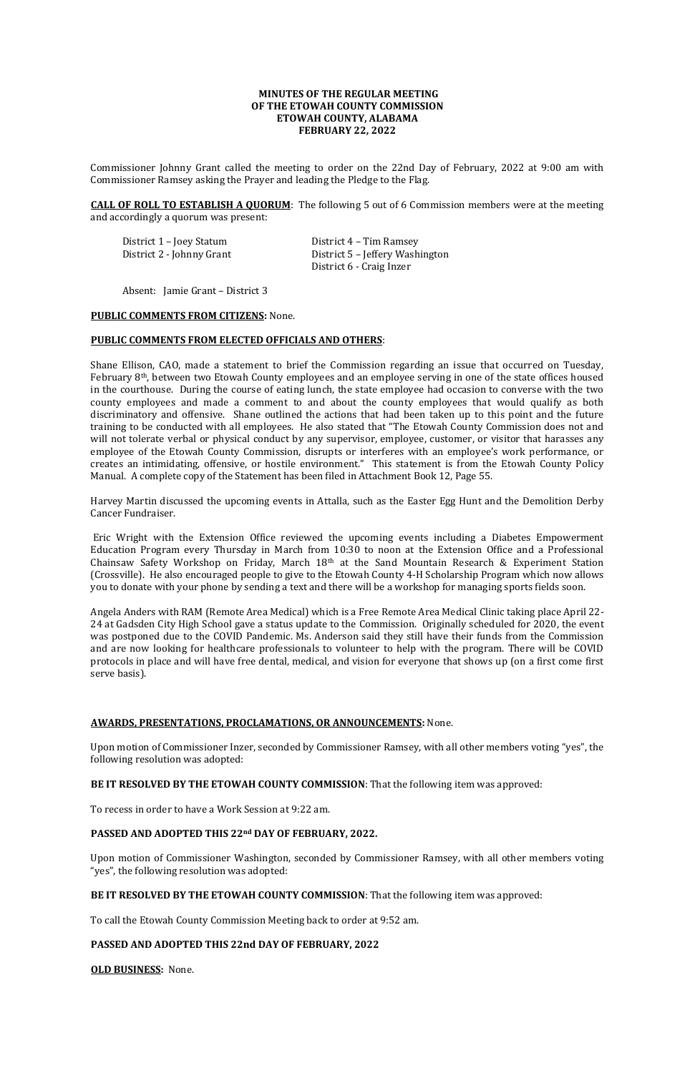# **MINUTES OF THE REGULAR MEETING OF THE ETOWAH COUNTY COMMISSION ETOWAH COUNTY, ALABAMA FEBRUARY 22, 2022**

Commissioner Johnny Grant called the meeting to order on the 22nd Day of February, 2022 at 9:00 am with Commissioner Ramsey asking the Prayer and leading the Pledge to the Flag.

District 2 - Johnny Grant District 5 – Jeffery Washington District 6 - Craig Inzer

**CALL OF ROLL TO ESTABLISH A QUORUM**: The following 5 out of 6 Commission members were at the meeting and accordingly a quorum was present:

District 1 – Joey Statum District 4 – Tim Ramsey

Absent: Jamie Grant – District 3

### **PUBLIC COMMENTS FROM CITIZENS:** None.

## **PUBLIC COMMENTS FROM ELECTED OFFICIALS AND OTHERS**:

Shane Ellison, CAO, made a statement to brief the Commission regarding an issue that occurred on Tuesday, February 8th, between two Etowah County employees and an employee serving in one of the state offices housed in the courthouse. During the course of eating lunch, the state employee had occasion to converse with the two county employees and made a comment to and about the county employees that would qualify as both discriminatory and offensive. Shane outlined the actions that had been taken up to this point and the future training to be conducted with all employees. He also stated that "The Etowah County Commission does not and will not tolerate verbal or physical conduct by any supervisor, employee, customer, or visitor that harasses any employee of the Etowah County Commission, disrupts or interferes with an employee's work performance, or creates an intimidating, offensive, or hostile environment." This statement is from the Etowah County Policy Manual. A complete copy of the Statement has been filed in Attachment Book 12, Page 55.

Harvey Martin discussed the upcoming events in Attalla, such as the Easter Egg Hunt and the Demolition Derby Cancer Fundraiser.

Eric Wright with the Extension Office reviewed the upcoming events including a Diabetes Empowerment Education Program every Thursday in March from 10:30 to noon at the Extension Office and a Professional Chainsaw Safety Workshop on Friday, March 18th at the Sand Mountain Research & Experiment Station (Crossville). He also encouraged people to give to the Etowah County 4-H Scholarship Program which now allows you to donate with your phone by sending a text and there will be a workshop for managing sports fields soon.

Angela Anders with RAM (Remote Area Medical) which is a Free Remote Area Medical Clinic taking place April 22- 24 at Gadsden City High School gave a status update to the Commission. Originally scheduled for 2020, the event was postponed due to the COVID Pandemic. Ms. Anderson said they still have their funds from the Commission and are now looking for healthcare professionals to volunteer to help with the program. There will be COVID protocols in place and will have free dental, medical, and vision for everyone that shows up (on a first come first serve basis).

# **AWARDS, PRESENTATIONS, PROCLAMATIONS, OR ANNOUNCEMENTS:** None.

Upon motion of Commissioner Inzer, seconded by Commissioner Ramsey, with all other members voting "yes", the following resolution was adopted:

**BE IT RESOLVED BY THE ETOWAH COUNTY COMMISSION**: That the following item was approved:

To recess in order to have a Work Session at 9:22 am.

# **PASSED AND ADOPTED THIS 22nd DAY OF FEBRUARY, 2022.**

Upon motion of Commissioner Washington, seconded by Commissioner Ramsey, with all other members voting "yes", the following resolution was adopted:

**BE IT RESOLVED BY THE ETOWAH COUNTY COMMISSION**: That the following item was approved:

To call the Etowah County Commission Meeting back to order at 9:52 am.

# **PASSED AND ADOPTED THIS 22nd DAY OF FEBRUARY, 2022**

**OLD BUSINESS:** None.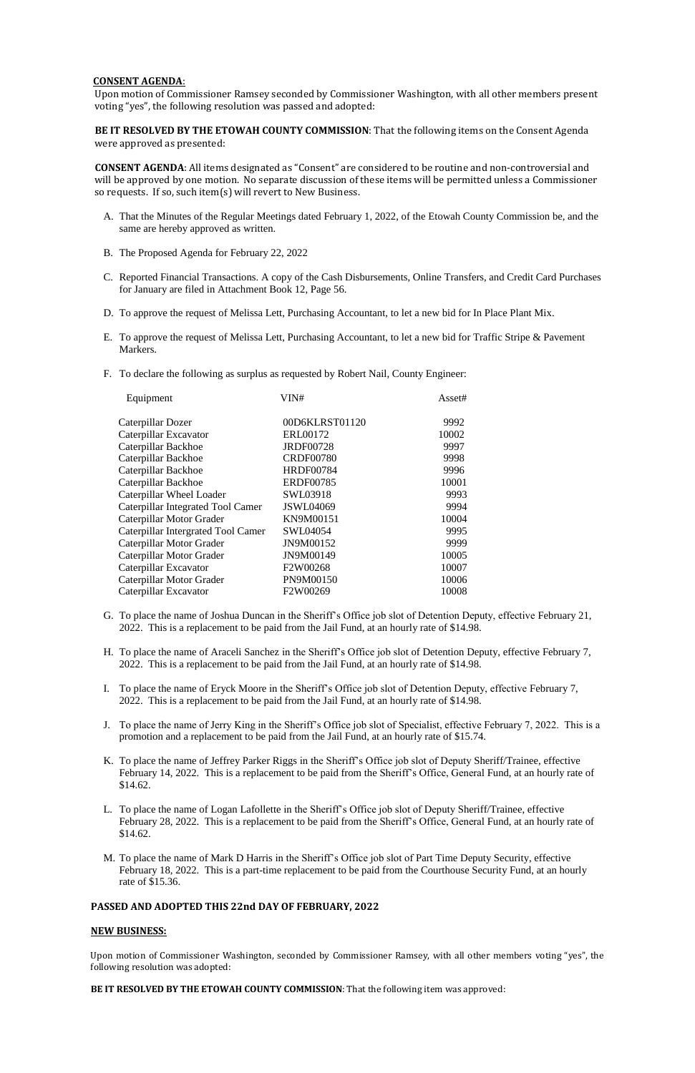# **CONSENT AGENDA**:

Upon motion of Commissioner Ramsey seconded by Commissioner Washington, with all other members present voting "yes", the following resolution was passed and adopted:

**BE IT RESOLVED BY THE ETOWAH COUNTY COMMISSION**: That the following items on the Consent Agenda were approved as presented:

**CONSENT AGENDA**: All items designated as "Consent" are considered to be routine and non-controversial and will be approved by one motion. No separate discussion of these items will be permitted unless a Commissioner so requests. If so, such item(s) will revert to New Business.

- A. That the Minutes of the Regular Meetings dated February 1, 2022, of the Etowah County Commission be, and the same are hereby approved as written.
- B. The Proposed Agenda for February 22, 2022
- C. Reported Financial Transactions. A copy of the Cash Disbursements, Online Transfers, and Credit Card Purchases for January are filed in Attachment Book 12, Page 56.
- D. To approve the request of Melissa Lett, Purchasing Accountant, to let a new bid for In Place Plant Mix.
- E. To approve the request of Melissa Lett, Purchasing Accountant, to let a new bid for Traffic Stripe & Pavement Markers.
- F. To declare the following as surplus as requested by Robert Nail, County Engineer:

| Equipment                          | VIN#             | Asset# |
|------------------------------------|------------------|--------|
| Caterpillar Dozer                  | 00D6KLRST01120   | 9992   |
| Caterpillar Excavator              | ERL00172         | 10002  |
| Caterpillar Backhoe                | <b>JRDF00728</b> | 9997   |
| Caterpillar Backhoe                | <b>CRDF00780</b> | 9998   |
| Caterpillar Backhoe                | <b>HRDF00784</b> | 9996   |
| Caterpillar Backhoe                | <b>ERDF00785</b> | 10001  |
| Caterpillar Wheel Loader           | SWL03918         | 9993   |
| Caterpillar Integrated Tool Camer  | <b>JSWL04069</b> | 9994   |
| Caterpillar Motor Grader           | KN9M00151        | 10004  |
| Caterpillar Intergrated Tool Camer | SWL04054         | 9995   |
| Caterpillar Motor Grader           | JN9M00152        | 9999   |
| Caterpillar Motor Grader           | JN9M00149        | 10005  |
| Caterpillar Excavator              | F2W00268         | 10007  |
| Caterpillar Motor Grader           | PN9M00150        | 10006  |
| Caterpillar Excavator              | F2W00269         | 10008  |
|                                    |                  |        |

- G. To place the name of Joshua Duncan in the Sheriff's Office job slot of Detention Deputy, effective February 21, 2022. This is a replacement to be paid from the Jail Fund, at an hourly rate of \$14.98.
- H. To place the name of Araceli Sanchez in the Sheriff's Office job slot of Detention Deputy, effective February 7, 2022. This is a replacement to be paid from the Jail Fund, at an hourly rate of \$14.98.
- I. To place the name of Eryck Moore in the Sheriff's Office job slot of Detention Deputy, effective February 7, 2022. This is a replacement to be paid from the Jail Fund, at an hourly rate of \$14.98.
- J. To place the name of Jerry King in the Sheriff's Office job slot of Specialist, effective February 7, 2022. This is a promotion and a replacement to be paid from the Jail Fund, at an hourly rate of \$15.74.
- K. To place the name of Jeffrey Parker Riggs in the Sheriff's Office job slot of Deputy Sheriff/Trainee, effective February 14, 2022. This is a replacement to be paid from the Sheriff's Office, General Fund, at an hourly rate of \$14.62.
- 
- L. To place the name of Logan Lafollette in the Sheriff's Office job slot of Deputy Sheriff/Trainee, effective February 28, 2022. This is a replacement to be paid from the Sheriff's Office, General Fund, at an hourly rate of \$14.62.
- M. To place the name of Mark D Harris in the Sheriff's Office job slot of Part Time Deputy Security, effective February 18, 2022. This is a part-time replacement to be paid from the Courthouse Security Fund, at an hourly rate of \$15.36.

# **PASSED AND ADOPTED THIS 22nd DAY OF FEBRUARY, 2022**

# **NEW BUSINESS:**

Upon motion of Commissioner Washington, seconded by Commissioner Ramsey, with all other members voting "yes", the following resolution was adopted:

**BE IT RESOLVED BY THE ETOWAH COUNTY COMMISSION**: That the following item was approved: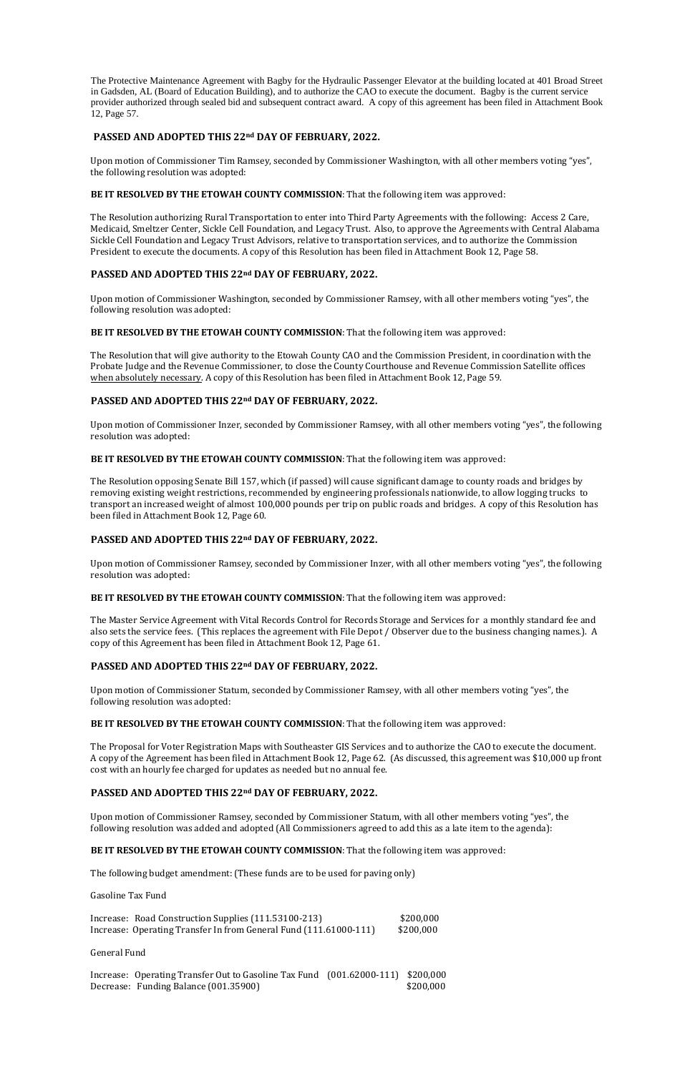The Protective Maintenance Agreement with Bagby for the Hydraulic Passenger Elevator at the building located at 401 Broad Street in Gadsden, AL (Board of Education Building), and to authorize the CAO to execute the document. Bagby is the current service provider authorized through sealed bid and subsequent contract award. A copy of this agreement has been filed in Attachment Book 12, Page 57.

## **PASSED AND ADOPTED THIS 22nd DAY OF FEBRUARY, 2022.**

Upon motion of Commissioner Tim Ramsey, seconded by Commissioner Washington, with all other members voting "yes", the following resolution was adopted:

### **BE IT RESOLVED BY THE ETOWAH COUNTY COMMISSION**: That the following item was approved:

The Resolution authorizing Rural Transportation to enter into Third Party Agreements with the following: Access 2 Care, Medicaid, Smeltzer Center, Sickle Cell Foundation, and Legacy Trust. Also, to approve the Agreements with Central Alabama Sickle Cell Foundation and Legacy Trust Advisors, relative to transportation services, and to authorize the Commission President to execute the documents. A copy of this Resolution has been filed in Attachment Book 12, Page 58.

### **PASSED AND ADOPTED THIS 22nd DAY OF FEBRUARY, 2022.**

Upon motion of Commissioner Washington, seconded by Commissioner Ramsey, with all other members voting "yes", the following resolution was adopted:

**BE IT RESOLVED BY THE ETOWAH COUNTY COMMISSION**: That the following item was approved:

The Resolution that will give authority to the Etowah County CAO and the Commission President, in coordination with the Probate Judge and the Revenue Commissioner, to close the County Courthouse and Revenue Commission Satellite offices when absolutely necessary. A copy of this Resolution has been filed in Attachment Book 12, Page 59.

## **PASSED AND ADOPTED THIS 22nd DAY OF FEBRUARY, 2022.**

Upon motion of Commissioner Inzer, seconded by Commissioner Ramsey, with all other members voting "yes", the following resolution was adopted:

**BE IT RESOLVED BY THE ETOWAH COUNTY COMMISSION**: That the following item was approved:

Increase: Road Construction Supplies (111.53100-213) \$200,000 Increase: Operating Transfer In from General Fund (111.61000-111) \$200,000

Increase: Operating Transfer Out to Gasoline Tax Fund (001.62000-111) \$200,000 Decrease: Funding Balance (001.35900) \$200,000

The Resolution opposing Senate Bill 157, which (if passed) will cause significant damage to county roads and bridges by removing existing weight restrictions, recommended by engineering professionals nationwide, to allow logging trucks to transport an increased weight of almost 100,000 pounds per trip on public roads and bridges. A copy of this Resolution has been filed in Attachment Book 12, Page 60.

### **PASSED AND ADOPTED THIS 22nd DAY OF FEBRUARY, 2022.**

Upon motion of Commissioner Ramsey, seconded by Commissioner Inzer, with all other members voting "yes", the following resolution was adopted:

**BE IT RESOLVED BY THE ETOWAH COUNTY COMMISSION**: That the following item was approved:

The Master Service Agreement with Vital Records Control for Records Storage and Services for a monthly standard fee and also sets the service fees. (This replaces the agreement with File Depot / Observer due to the business changing names.). A copy of this Agreement has been filed in Attachment Book 12, Page 61.

### **PASSED AND ADOPTED THIS 22nd DAY OF FEBRUARY, 2022.**

Upon motion of Commissioner Statum, seconded by Commissioner Ramsey, with all other members voting "yes", the following resolution was adopted:

## **BE IT RESOLVED BY THE ETOWAH COUNTY COMMISSION**: That the following item was approved:

The Proposal for Voter Registration Maps with Southeaster GIS Services and to authorize the CAO to execute the document. A copy of the Agreement has been filed in Attachment Book 12, Page 62. (As discussed, this agreement was \$10,000 up front cost with an hourly fee charged for updates as needed but no annual fee.

#### **PASSED AND ADOPTED THIS 22nd DAY OF FEBRUARY, 2022.**

Upon motion of Commissioner Ramsey, seconded by Commissioner Statum, with all other members voting "yes", the following resolution was added and adopted (All Commissioners agreed to add this as a late item to the agenda):

#### **BE IT RESOLVED BY THE ETOWAH COUNTY COMMISSION**: That the following item was approved:

The following budget amendment: (These funds are to be used for paving only)

Gasoline Tax Fund

General Fund